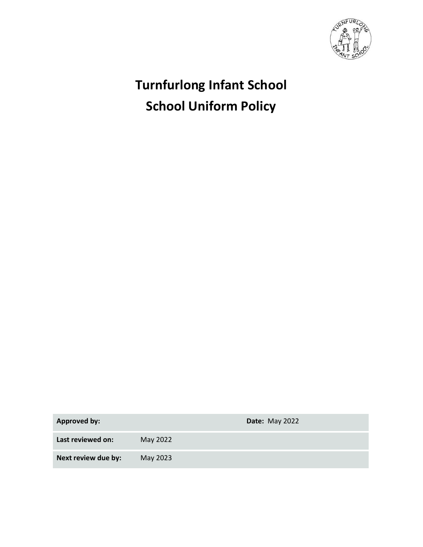

# Turnfurlong Infant School School Uniform Policy

Approved by: **Date:** May 2022

Last reviewed on: May 2022

Next review due by: May 2023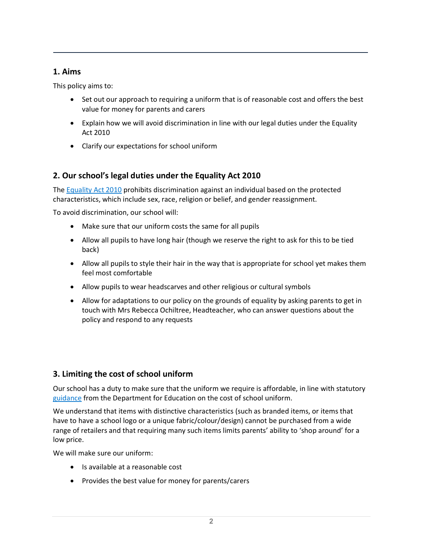### 1. Aims

This policy aims to:

- Set out our approach to requiring a uniform that is of reasonable cost and offers the best value for money for parents and carers
- Explain how we will avoid discrimination in line with our legal duties under the Equality Act 2010
- Clarify our expectations for school uniform

# 2. Our school's legal duties under the Equality Act 2010

The Equality Act 2010 prohibits discrimination against an individual based on the protected characteristics, which include sex, race, religion or belief, and gender reassignment.

To avoid discrimination, our school will:

- Make sure that our uniform costs the same for all pupils
- Allow all pupils to have long hair (though we reserve the right to ask for this to be tied back)
- Allow all pupils to style their hair in the way that is appropriate for school yet makes them feel most comfortable
- Allow pupils to wear headscarves and other religious or cultural symbols
- Allow for adaptations to our policy on the grounds of equality by asking parents to get in touch with Mrs Rebecca Ochiltree, Headteacher, who can answer questions about the policy and respond to any requests

# 3. Limiting the cost of school uniform

Our school has a duty to make sure that the uniform we require is affordable, in line with statutory guidance from the Department for Education on the cost of school uniform.

We understand that items with distinctive characteristics (such as branded items, or items that have to have a school logo or a unique fabric/colour/design) cannot be purchased from a wide range of retailers and that requiring many such items limits parents' ability to 'shop around' for a low price.

We will make sure our uniform:

- Is available at a reasonable cost
- Provides the best value for money for parents/carers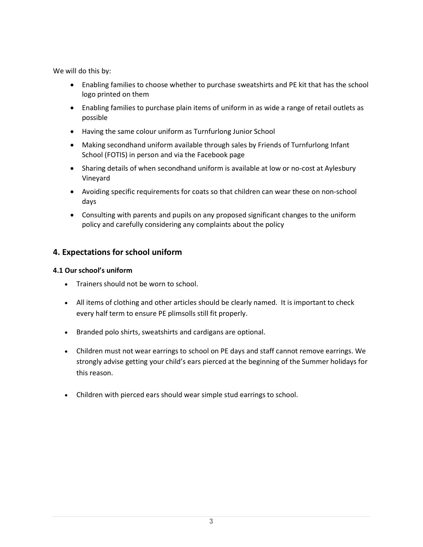We will do this by:

- Enabling families to choose whether to purchase sweatshirts and PE kit that has the school logo printed on them
- Enabling families to purchase plain items of uniform in as wide a range of retail outlets as possible
- Having the same colour uniform as Turnfurlong Junior School
- Making secondhand uniform available through sales by Friends of Turnfurlong Infant School (FOTIS) in person and via the Facebook page
- Sharing details of when secondhand uniform is available at low or no-cost at Aylesbury Vineyard
- Avoiding specific requirements for coats so that children can wear these on non-school days
- Consulting with parents and pupils on any proposed significant changes to the uniform policy and carefully considering any complaints about the policy

# 4. Expectations for school uniform

### 4.1 Our school's uniform

- Trainers should not be worn to school.
- All items of clothing and other articles should be clearly named. It is important to check every half term to ensure PE plimsolls still fit properly.
- Branded polo shirts, sweatshirts and cardigans are optional.
- Children must not wear earrings to school on PE days and staff cannot remove earrings. We strongly advise getting your child's ears pierced at the beginning of the Summer holidays for this reason.
- Children with pierced ears should wear simple stud earrings to school.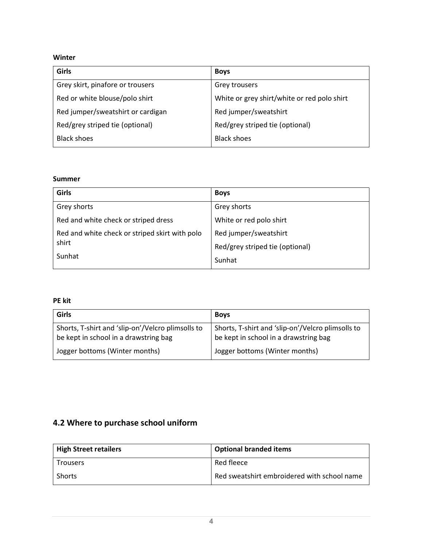### Winter

| Girls                             | <b>Boys</b>                                 |
|-----------------------------------|---------------------------------------------|
| Grey skirt, pinafore or trousers  | Grey trousers                               |
| Red or white blouse/polo shirt    | White or grey shirt/white or red polo shirt |
| Red jumper/sweatshirt or cardigan | Red jumper/sweatshirt                       |
| Red/grey striped tie (optional)   | Red/grey striped tie (optional)             |
| <b>Black shoes</b>                | <b>Black shoes</b>                          |

### Summer

| Girls                                          | <b>Boys</b>                     |
|------------------------------------------------|---------------------------------|
| Grey shorts                                    | Grey shorts                     |
| Red and white check or striped dress           | White or red polo shirt         |
| Red and white check or striped skirt with polo | Red jumper/sweatshirt           |
| shirt                                          | Red/grey striped tie (optional) |
| Sunhat                                         | Sunhat                          |

### PE kit

| Girls                                                                                      | <b>Boys</b>                                                                                |
|--------------------------------------------------------------------------------------------|--------------------------------------------------------------------------------------------|
| Shorts, T-shirt and 'slip-on'/Velcro plimsolls to<br>be kept in school in a drawstring bag | Shorts, T-shirt and 'slip-on'/Velcro plimsolls to<br>be kept in school in a drawstring bag |
| Jogger bottoms (Winter months)                                                             | Jogger bottoms (Winter months)                                                             |

# 4.2 Where to purchase school uniform

| <b>High Street retailers</b> | <b>Optional branded items</b>               |
|------------------------------|---------------------------------------------|
| l Trousers                   | Red fleece                                  |
| Shorts                       | Red sweatshirt embroidered with school name |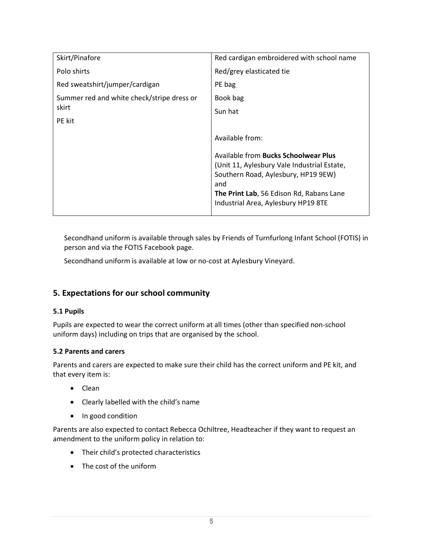| Skirt/Pinafore                             | Red cardigan embroidered with school name                                                                                                                                     |
|--------------------------------------------|-------------------------------------------------------------------------------------------------------------------------------------------------------------------------------|
| Polo shirts                                | Red/grey elasticated tie                                                                                                                                                      |
| Red sweatshirt/jumper/cardigan             | PE bag                                                                                                                                                                        |
| Summer red and white check/stripe dress or | Book bag                                                                                                                                                                      |
| skirt                                      | Sun hat                                                                                                                                                                       |
| <b>PE</b> kit                              |                                                                                                                                                                               |
|                                            | Available from:                                                                                                                                                               |
|                                            | Available from Bucks Schoolwear Plus<br>(Unit 11, Aylesbury Vale Industrial Estate,<br>Southern Road, Aylesbury, HP19 9EW)<br>and<br>The Print Lab, 56 Edison Rd, Rabans Lane |
|                                            | Industrial Area, Aylesbury HP19 8TE                                                                                                                                           |

Secondhand uniform is available through sales by Friends of Turnfurlong Infant School (FOTIS) in person and via the FOTIS Facebook page.

Secondhand uniform is available at low or no-cost at Aylesbury Vineyard.

# 5. Expectations for our school community

### 5.1 Pupils

Pupils are expected to wear the correct uniform at all times (other than specified non-school uniform days) including on trips that are organised by the school.

### 5.2 Parents and carers

Parents and carers are expected to make sure their child has the correct uniform and PE kit, and that every item is:

- Clean
- Clearly labelled with the child's name
- In good condition

Parents are also expected to contact Rebecca Ochiltree, Headteacher if they want to request an amendment to the uniform policy in relation to:

- Their child's protected characteristics
- The cost of the uniform